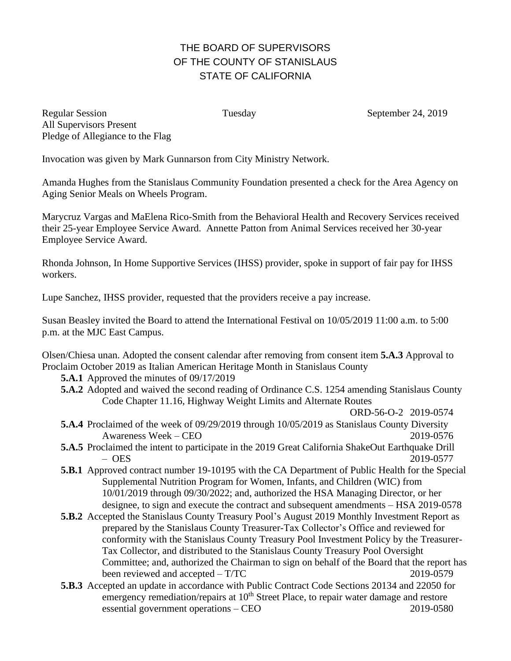## THE BOARD OF SUPERVISORS OF THE COUNTY OF STANISLAUS STATE OF CALIFORNIA

Regular Session Tuesday Tuesday September 24, 2019 All Supervisors Present Pledge of Allegiance to the Flag

Invocation was given by Mark Gunnarson from City Ministry Network.

Amanda Hughes from the Stanislaus Community Foundation presented a check for the Area Agency on Aging Senior Meals on Wheels Program.

Marycruz Vargas and MaElena Rico-Smith from the Behavioral Health and Recovery Services received their 25-year Employee Service Award. Annette Patton from Animal Services received her 30-year Employee Service Award.

Rhonda Johnson, In Home Supportive Services (IHSS) provider, spoke in support of fair pay for IHSS workers.

Lupe Sanchez, IHSS provider, requested that the providers receive a pay increase.

Susan Beasley invited the Board to attend the International Festival on 10/05/2019 11:00 a.m. to 5:00 p.m. at the MJC East Campus.

Olsen/Chiesa unan. Adopted the consent calendar after removing from consent item **5.A.3** Approval to Proclaim October 2019 as Italian American Heritage Month in Stanislaus County

- **5.A.1** Approved the minutes of 09/17/2019
- **5.A.2** Adopted and waived the second reading of Ordinance C.S. 1254 amending Stanislaus County Code Chapter 11.16, Highway Weight Limits and Alternate Routes
- ORD-56-O-2 2019-0574 **5.A.4** Proclaimed of the week of 09/29/2019 through 10/05/2019 as Stanislaus County Diversity Awareness Week – CEO 2019-0576
- **5.A.5** Proclaimed the intent to participate in the 2019 Great California ShakeOut Earthquake Drill – OES 2019-0577
- **5.B.1** Approved contract number 19-10195 with the CA Department of Public Health for the Special Supplemental Nutrition Program for Women, Infants, and Children (WIC) from 10/01/2019 through 09/30/2022; and, authorized the HSA Managing Director, or her designee, to sign and execute the contract and subsequent amendments – HSA 2019-0578
- **5.B.2** Accepted the Stanislaus County Treasury Pool's August 2019 Monthly Investment Report as prepared by the Stanislaus County Treasurer-Tax Collector's Office and reviewed for conformity with the Stanislaus County Treasury Pool Investment Policy by the Treasurer-Tax Collector, and distributed to the Stanislaus County Treasury Pool Oversight Committee; and, authorized the Chairman to sign on behalf of the Board that the report has been reviewed and accepted – T/TC 2019-0579
- **5.B.3** Accepted an update in accordance with Public Contract Code Sections 20134 and 22050 for emergency remediation/repairs at  $10<sup>th</sup>$  Street Place, to repair water damage and restore essential government operations – CEO 2019-0580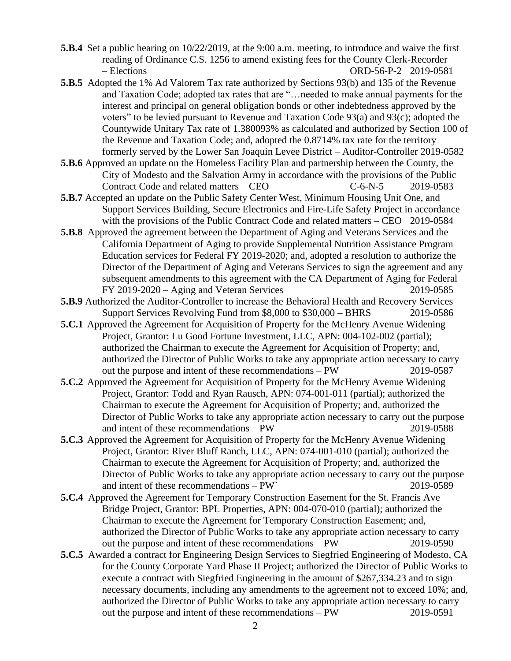**5.B.4** Set a public hearing on 10/22/2019, at the 9:00 a.m. meeting, to introduce and waive the first reading of Ordinance C.S. 1256 to amend existing fees for the County Clerk-Recorder – Elections ORD-56-P-2 2019-0581

- **5.B.5** Adopted the 1% Ad Valorem Tax rate authorized by Sections 93(b) and 135 of the Revenue and Taxation Code; adopted tax rates that are "…needed to make annual payments for the interest and principal on general obligation bonds or other indebtedness approved by the voters" to be levied pursuant to Revenue and Taxation Code 93(a) and 93(c); adopted the Countywide Unitary Tax rate of 1.380093% as calculated and authorized by Section 100 of the Revenue and Taxation Code; and, adopted the 0.8714% tax rate for the territory formerly served by the Lower San Joaquin Levee District – Auditor-Controller 2019-0582
- **5.B.6** Approved an update on the Homeless Facility Plan and partnership between the County, the City of Modesto and the Salvation Army in accordance with the provisions of the Public Contract Code and related matters – CEO C-6-N-5 2019-0583
- **5.B.7** Accepted an update on the Public Safety Center West, Minimum Housing Unit One, and Support Services Building, Secure Electronics and Fire-Life Safety Project in accordance with the provisions of the Public Contract Code and related matters – CEO 2019-0584
- **5.B.8** Approved the agreement between the Department of Aging and Veterans Services and the California Department of Aging to provide Supplemental Nutrition Assistance Program Education services for Federal FY 2019-2020; and, adopted a resolution to authorize the Director of the Department of Aging and Veterans Services to sign the agreement and any subsequent amendments to this agreement with the CA Department of Aging for Federal FY 2019-2020 – Aging and Veteran Services 2019-0585
- **5.B.9** Authorized the Auditor-Controller to increase the Behavioral Health and Recovery Services Support Services Revolving Fund from \$8,000 to \$30,000 – BHRS 2019-0586
- **5.C.1** Approved the Agreement for Acquisition of Property for the McHenry Avenue Widening Project, Grantor: Lu Good Fortune Investment, LLC, APN: 004-102-002 (partial); authorized the Chairman to execute the Agreement for Acquisition of Property; and, authorized the Director of Public Works to take any appropriate action necessary to carry out the purpose and intent of these recommendations – PW 2019-0587
- **5.C.2** Approved the Agreement for Acquisition of Property for the McHenry Avenue Widening Project, Grantor: Todd and Ryan Rausch, APN: 074-001-011 (partial); authorized the Chairman to execute the Agreement for Acquisition of Property; and, authorized the Director of Public Works to take any appropriate action necessary to carry out the purpose and intent of these recommendations – PW 2019-0588
- **5.C.3** Approved the Agreement for Acquisition of Property for the McHenry Avenue Widening Project, Grantor: River Bluff Ranch, LLC, APN: 074-001-010 (partial); authorized the Chairman to execute the Agreement for Acquisition of Property; and, authorized the Director of Public Works to take any appropriate action necessary to carry out the purpose and intent of these recommendations – PW` 2019-0589
- **5.C.4** Approved the Agreement for Temporary Construction Easement for the St. Francis Ave Bridge Project, Grantor: BPL Properties, APN: 004-070-010 (partial); authorized the Chairman to execute the Agreement for Temporary Construction Easement; and, authorized the Director of Public Works to take any appropriate action necessary to carry<br>out the purpose and intent of these recommendations – PW 2019-0590 out the purpose and intent of these recommendations  $-$  PW
- **5.C.5** Awarded a contract for Engineering Design Services to Siegfried Engineering of Modesto, CA for the County Corporate Yard Phase II Project; authorized the Director of Public Works to execute a contract with Siegfried Engineering in the amount of \$267,334.23 and to sign necessary documents, including any amendments to the agreement not to exceed 10%; and, authorized the Director of Public Works to take any appropriate action necessary to carry out the purpose and intent of these recommendations – PW 2019-0591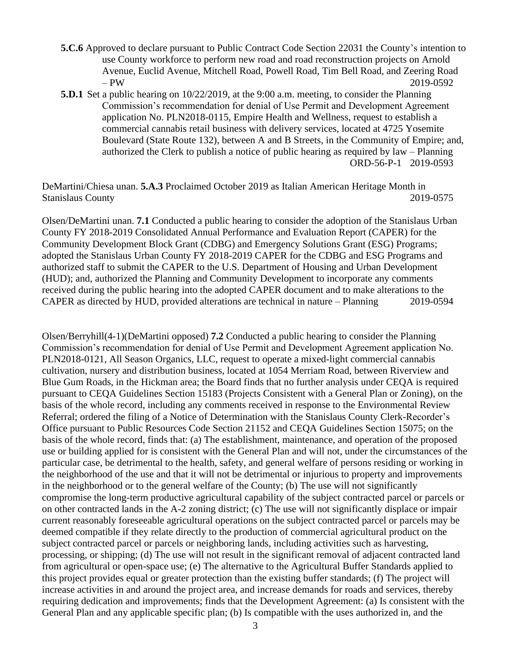- **5.C.6** Approved to declare pursuant to Public Contract Code Section 22031 the County's intention to use County workforce to perform new road and road reconstruction projects on Arnold Avenue, Euclid Avenue, Mitchell Road, Powell Road, Tim Bell Road, and Zeering Road – PW 2019-0592
- **5.D.1** Set a public hearing on 10/22/2019, at the 9:00 a.m. meeting, to consider the Planning Commission's recommendation for denial of Use Permit and Development Agreement application No. PLN2018-0115, Empire Health and Wellness, request to establish a commercial cannabis retail business with delivery services, located at 4725 Yosemite Boulevard (State Route 132), between A and B Streets, in the Community of Empire; and, authorized the Clerk to publish a notice of public hearing as required by law – Planning ORD-56-P-1 2019-0593

DeMartini/Chiesa unan. **5.A.3** Proclaimed October 2019 as Italian American Heritage Month in Stanislaus County 2019-0575

Olsen/DeMartini unan. **7.1** Conducted a public hearing to consider the adoption of the Stanislaus Urban County FY 2018-2019 Consolidated Annual Performance and Evaluation Report (CAPER) for the Community Development Block Grant (CDBG) and Emergency Solutions Grant (ESG) Programs; adopted the Stanislaus Urban County FY 2018-2019 CAPER for the CDBG and ESG Programs and authorized staff to submit the CAPER to the U.S. Department of Housing and Urban Development (HUD); and, authorized the Planning and Community Development to incorporate any comments received during the public hearing into the adopted CAPER document and to make alterations to the CAPER as directed by HUD, provided alterations are technical in nature – Planning 2019-0594

Olsen/Berryhill(4-1)(DeMartini opposed) **7.2** Conducted a public hearing to consider the Planning Commission's recommendation for denial of Use Permit and Development Agreement application No. PLN2018-0121, All Season Organics, LLC, request to operate a mixed-light commercial cannabis cultivation, nursery and distribution business, located at 1054 Merriam Road, between Riverview and Blue Gum Roads, in the Hickman area; the Board finds that no further analysis under CEQA is required pursuant to CEQA Guidelines Section 15183 (Projects Consistent with a General Plan or Zoning), on the basis of the whole record, including any comments received in response to the Environmental Review Referral; ordered the filing of a Notice of Determination with the Stanislaus County Clerk-Recorder's Office pursuant to Public Resources Code Section 21152 and CEQA Guidelines Section 15075; on the basis of the whole record, finds that: (a) The establishment, maintenance, and operation of the proposed use or building applied for is consistent with the General Plan and will not, under the circumstances of the particular case, be detrimental to the health, safety, and general welfare of persons residing or working in the neighborhood of the use and that it will not be detrimental or injurious to property and improvements in the neighborhood or to the general welfare of the County; (b) The use will not significantly compromise the long-term productive agricultural capability of the subject contracted parcel or parcels or on other contracted lands in the A-2 zoning district; (c) The use will not significantly displace or impair current reasonably foreseeable agricultural operations on the subject contracted parcel or parcels may be deemed compatible if they relate directly to the production of commercial agricultural product on the subject contracted parcel or parcels or neighboring lands, including activities such as harvesting, processing, or shipping; (d) The use will not result in the significant removal of adjacent contracted land from agricultural or open-space use; (e) The alternative to the Agricultural Buffer Standards applied to this project provides equal or greater protection than the existing buffer standards; (f) The project will increase activities in and around the project area, and increase demands for roads and services, thereby requiring dedication and improvements; finds that the Development Agreement: (a) Is consistent with the General Plan and any applicable specific plan; (b) Is compatible with the uses authorized in, and the